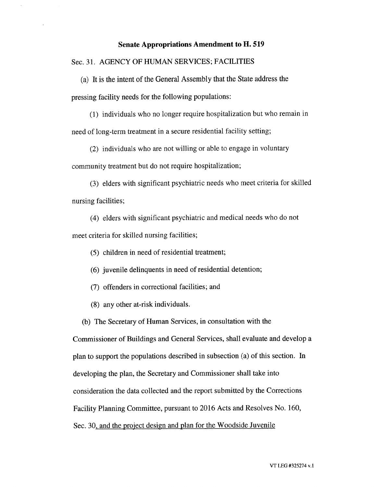## **Senate Appropriations Amendment to H. 519**

Sec. 31. AGENCY OF HUMAN SERVICES; FACILITIES

(a) It is the intent of the General Assembly that the State address the pressing facility needs for the following populations:

(1) individuals who no longer require hospitalization but who remain in need of long-term treatment in a secure residential facility setting;

(2) individuals who are not willing or able to engage in voluntary

community treatment but do not require hospitalization;

(3) elders with significant psychiatric needs who meet criteria for skilled nursing facilities;

(4) elders with significant psychiatric and medical needs who do not

meet criteria for skilled nursing facilities;

(5) children in need of residential treatment;

(6) juvenile delinquents in need of residential detention;

(7) offenders in correctional facilities; and

(8) any other at-risk individuals.

(b) The Secretary of Human Services, in consultation with the

Commissioner of Buildings and General Services, shall evaluate and develop a plan to support the populations described in subsection (a) of this section. In developing the plan, the Secretary and Commissioner shall take into consideration the data collected and the report submitted by the Corrections Facility Planning Committee, pursuant to 2016 Acts and Resolves No. 160, Sec. 30, and the project design and plan for the Woodside Juvenile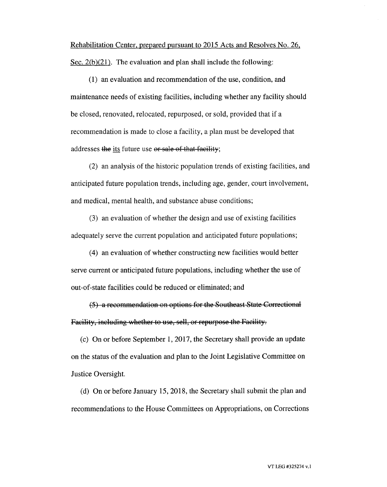Rehabilitation Center, prepared pursuant to 2015 Acts and Resolves No. 26, Sec. 2(b)(21). The evaluation and plan shall include the following:

(1) an evaluation and recommendation of the use, condition, and maintenance needs of existing facilities, including whether any facility should be closed, renovated, relocated, repurposed, or sold, provided that if a recommendation is made to close a facility, a plan must be developed that addresses the its future use or sale of that facility;

(2) an analysis of the historic population trends of existing facilities, and anticipated future population trends, including age, gender, court involvement, and medical, mental health, and substance abuse conditions;

(3) an evaluation of whether the design and use of existing facilities adequately serve the current population and anticipated future populations;

(4) an evaluation of whether constructing new facilities would better serve current or anticipated future populations, including whether the use of out-of-state facilities could be reduced or eliminated; and

(5) a recommendation on options for the Southeast State Correctional Facility, including whether to use, sell, or repurpose the Facility.

(c) On or before September 1, 2017, the Secretary shall provide an update on the status of the evaluation and plan to the Joint Legislative Committee on Justice Oversight.

(d) On or before January 15, 2018, the Secretary shall submit the plan and recommendations to the House Committees on Appropriations, on Corrections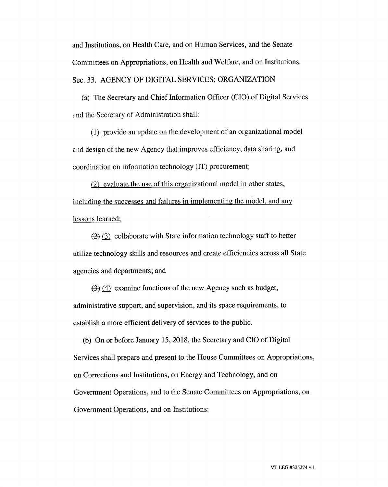and Institutions, on Health Care, and on Human Services, and the Senate Committees on Appropriations, on Health and Welfare, and on Institutions.

Sec. 33. AGENCY OF DIGITAL SERVICES; ORGANIZATION

(a) The Secretary and Chief Information Officer (CIO) of Digital Services and the Secretary of Administration shall:

(1) provide an update on the development of an organizational model and design of the new Agency that improves efficiency, data sharing, and coordination on information technology (IT) procurement;

(2) evaluate the use of this organizational model in other states, including the successes and failures in implementing the model, and any lessons learned;

 $(2)$  (3) collaborate with State information technology staff to better utilize technology skills and resources and create efficiencies across all State agencies and departments; and

 $(3)$  (4) examine functions of the new Agency such as budget, administrative support, and supervision, and its space requirements, to establish a more efficient delivery of services to the public.

(b) On or before January 15, 2018, the Secretary and CIO of Digital Services shall prepare and present to the House Committees on Appropriations, on Corrections and Institutions, on Energy and Technology, and on Government Operations, and to the Senate Committees on Appropriations, on Government Operations, and on Institutions: